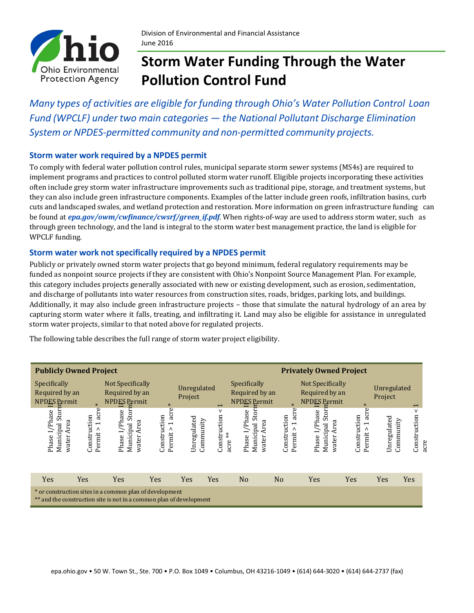

# **Storm Water Funding Through the Water Pollution Control Fund**

*Many types of activities are eligible for funding through Ohio's Water Pollution Control Loan Fund (WPCLF) under two main categories — the National Pollutant Discharge Elimination System or NPDES-permitted community and non-permitted community projects.*

### **Storm water work required by a NPDES permit**

To comply with federal water pollution control rules, municipal separate storm sewer systems (MS4s) are required to implement programs and practices to control polluted storm water runoff. Eligible projects incorporating these activities often include grey storm water infrastructure improvements such as traditional pipe, storage, and treatment systems, but they can also include green infrastructure components. Examples of the latter include green roofs, infiltration basins, curb cuts and landscaped swales, and wetland protection and restoration. More information on green infrastructure funding can be found at *[epa.gov/owm/cwfinance/cwsrf/green\\_if.pdf](http://epa.gov/owm/cwfinance/cwsrf/green_if.pdf)*. When rights-of-way are used to address storm water, such as through green technology, and the land is integral to the storm water best management practice, the land is eligible for WPCLF funding.

### **Storm water work not specifically required by a NPDES permit**

Publicly or privately owned storm water projects that go beyond minimum, federal regulatory requirements may be funded as nonpoint source projects if they are consistent with Ohio's Nonpoint Source Management Plan. For example, this category includes projects generally associated with new or existing development, such as erosion, sedimentation, and discharge of pollutants into water resources from construction sites, roads, bridges, parking lots, and buildings. Additionally, it may also include green infrastructure projects – those that simulate the natural hydrology of an area by capturing storm water where it falls, treating, and infiltrating it. Land may also be eligible for assistance in unregulated storm water projects, similar to that noted above for regulated projects.

The following table describes the full range of storm water project eligibility.

| <b>Publicly Owned Project</b>                                                                                                  |                                                                 |                                                           |                                                                 |                          |                              | <b>Privately Owned Project</b>                         |                                          |                                                           |                                     |                          |                           |
|--------------------------------------------------------------------------------------------------------------------------------|-----------------------------------------------------------------|-----------------------------------------------------------|-----------------------------------------------------------------|--------------------------|------------------------------|--------------------------------------------------------|------------------------------------------|-----------------------------------------------------------|-------------------------------------|--------------------------|---------------------------|
| Specifically<br>Required by an<br>NPDES Permit                                                                                 | $\ast$                                                          | Not Specifically<br>Required by an<br><b>NPDES</b> Permit | $\ast$                                                          | Unregulated<br>Project   | $\overline{\phantom{0}}$     | Specifically<br>Required by an<br><b>NPDES</b> Permit  | $\ast$                                   | Not Specifically<br>Required by an<br><b>NPDES Permit</b> | $\ast$                              | Unregulated<br>Project   | $\overline{\phantom{0}}$  |
| I/Phase<br>Stor<br>Area<br>Municipal<br>water<br>Phase                                                                         | acre<br>Construction<br>$\overline{\phantom{0}}$<br>٨<br>Permit | I/Phase<br>Stor<br>Area<br>Municipal<br>water<br>Phase    | acre<br>Construction<br>$\overline{\phantom{0}}$<br>٨<br>Permit | Unregulated<br>Community | v<br>Construction<br>acre ** | I/Phase<br>Stor<br>Area<br>Municipal<br>water<br>Phase | acre<br>Construction<br>↽<br>۸<br>Permit | /Phase<br>Sto<br>Area<br>Municipal<br>Phase I<br>water    | acre<br>Construction<br>Λ<br>Permit | Unregulated<br>Community | v<br>Construction<br>acre |
| Yes                                                                                                                            | Yes                                                             | Yes                                                       | Yes                                                             | Yes                      | Yes                          | N <sub>o</sub>                                         | N <sub>o</sub>                           | Yes                                                       | Yes                                 | Yes                      | Yes                       |
| * or construction sites in a common plan of development<br>** and the construction site is not in a common plan of development |                                                                 |                                                           |                                                                 |                          |                              |                                                        |                                          |                                                           |                                     |                          |                           |